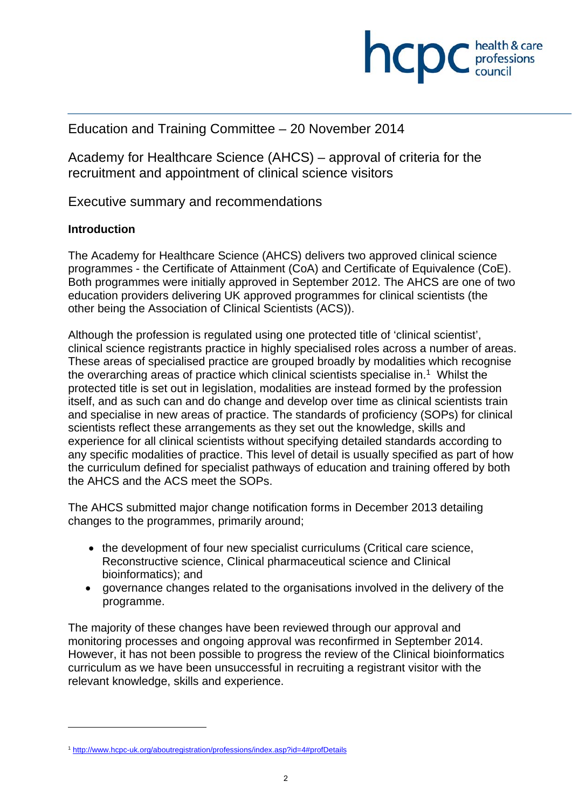

# Education and Training Committee – 20 November 2014

Academy for Healthcare Science (AHCS) – approval of criteria for the recruitment and appointment of clinical science visitors

Executive summary and recommendations

### **Introduction**

1

The Academy for Healthcare Science (AHCS) delivers two approved clinical science programmes - the Certificate of Attainment (CoA) and Certificate of Equivalence (CoE). Both programmes were initially approved in September 2012. The AHCS are one of two education providers delivering UK approved programmes for clinical scientists (the other being the Association of Clinical Scientists (ACS)).

Although the profession is regulated using one protected title of 'clinical scientist', clinical science registrants practice in highly specialised roles across a number of areas. These areas of specialised practice are grouped broadly by modalities which recognise the overarching areas of practice which clinical scientists specialise in.<sup>1</sup> Whilst the protected title is set out in legislation, modalities are instead formed by the profession itself, and as such can and do change and develop over time as clinical scientists train and specialise in new areas of practice. The standards of proficiency (SOPs) for clinical scientists reflect these arrangements as they set out the knowledge, skills and experience for all clinical scientists without specifying detailed standards according to any specific modalities of practice. This level of detail is usually specified as part of how the curriculum defined for specialist pathways of education and training offered by both the AHCS and the ACS meet the SOPs.

The AHCS submitted major change notification forms in December 2013 detailing changes to the programmes, primarily around;

- the development of four new specialist curriculums (Critical care science, Reconstructive science, Clinical pharmaceutical science and Clinical bioinformatics); and
- governance changes related to the organisations involved in the delivery of the programme.

The majority of these changes have been reviewed through our approval and monitoring processes and ongoing approval was reconfirmed in September 2014. However, it has not been possible to progress the review of the Clinical bioinformatics curriculum as we have been unsuccessful in recruiting a registrant visitor with the relevant knowledge, skills and experience.

<sup>1</sup> http://www.hcpc-uk.org/aboutregistration/professions/index.asp?id=4#profDetails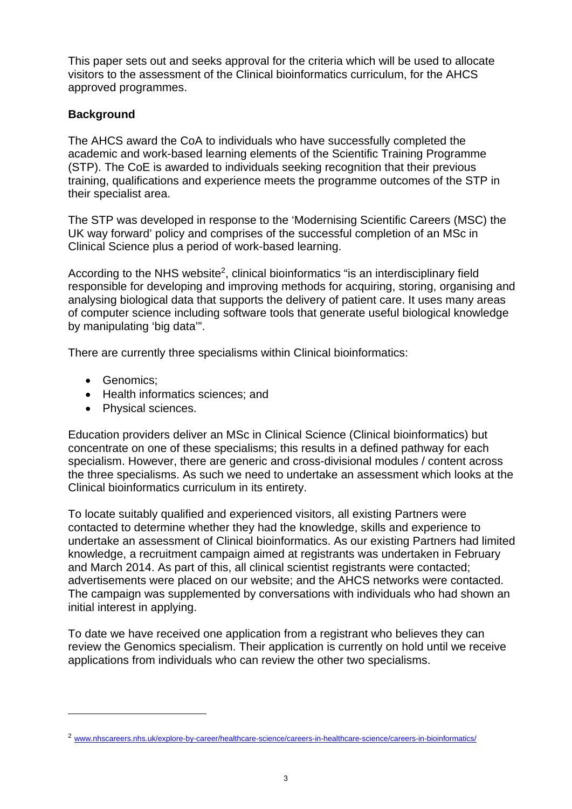This paper sets out and seeks approval for the criteria which will be used to allocate visitors to the assessment of the Clinical bioinformatics curriculum, for the AHCS approved programmes.

### **Background**

The AHCS award the CoA to individuals who have successfully completed the academic and work-based learning elements of the Scientific Training Programme (STP). The CoE is awarded to individuals seeking recognition that their previous training, qualifications and experience meets the programme outcomes of the STP in their specialist area.

The STP was developed in response to the 'Modernising Scientific Careers (MSC) the UK way forward' policy and comprises of the successful completion of an MSc in Clinical Science plus a period of work-based learning.

According to the NHS website<sup>2</sup>, clinical bioinformatics "is an interdisciplinary field responsible for developing and improving methods for acquiring, storing, organising and analysing biological data that supports the delivery of patient care. It uses many areas of computer science including software tools that generate useful biological knowledge by manipulating 'big data'".

There are currently three specialisms within Clinical bioinformatics:

• Genomics:

1

- Health informatics sciences; and
- Physical sciences.

Education providers deliver an MSc in Clinical Science (Clinical bioinformatics) but concentrate on one of these specialisms; this results in a defined pathway for each specialism. However, there are generic and cross-divisional modules / content across the three specialisms. As such we need to undertake an assessment which looks at the Clinical bioinformatics curriculum in its entirety.

To locate suitably qualified and experienced visitors, all existing Partners were contacted to determine whether they had the knowledge, skills and experience to undertake an assessment of Clinical bioinformatics. As our existing Partners had limited knowledge, a recruitment campaign aimed at registrants was undertaken in February and March 2014. As part of this, all clinical scientist registrants were contacted; advertisements were placed on our website; and the AHCS networks were contacted. The campaign was supplemented by conversations with individuals who had shown an initial interest in applying.

To date we have received one application from a registrant who believes they can review the Genomics specialism. Their application is currently on hold until we receive applications from individuals who can review the other two specialisms.

<sup>&</sup>lt;sup>2</sup> www.nhscareers.nhs.uk/explore-by-career/healthcare-science/careers-in-healthcare-science/careers-in-bioinformatics/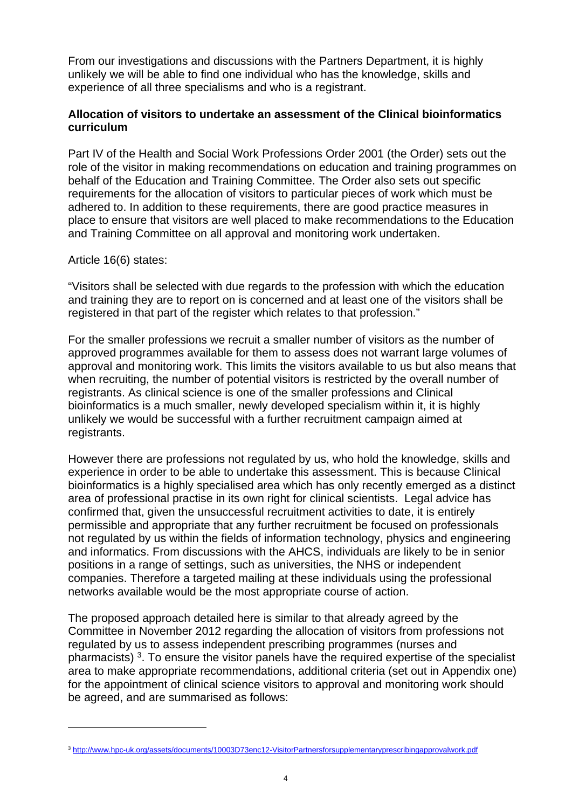From our investigations and discussions with the Partners Department, it is highly unlikely we will be able to find one individual who has the knowledge, skills and experience of all three specialisms and who is a registrant.

### **Allocation of visitors to undertake an assessment of the Clinical bioinformatics curriculum**

Part IV of the Health and Social Work Professions Order 2001 (the Order) sets out the role of the visitor in making recommendations on education and training programmes on behalf of the Education and Training Committee. The Order also sets out specific requirements for the allocation of visitors to particular pieces of work which must be adhered to. In addition to these requirements, there are good practice measures in place to ensure that visitors are well placed to make recommendations to the Education and Training Committee on all approval and monitoring work undertaken.

#### Article 16(6) states:

1

"Visitors shall be selected with due regards to the profession with which the education and training they are to report on is concerned and at least one of the visitors shall be registered in that part of the register which relates to that profession."

For the smaller professions we recruit a smaller number of visitors as the number of approved programmes available for them to assess does not warrant large volumes of approval and monitoring work. This limits the visitors available to us but also means that when recruiting, the number of potential visitors is restricted by the overall number of registrants. As clinical science is one of the smaller professions and Clinical bioinformatics is a much smaller, newly developed specialism within it, it is highly unlikely we would be successful with a further recruitment campaign aimed at registrants.

However there are professions not regulated by us, who hold the knowledge, skills and experience in order to be able to undertake this assessment. This is because Clinical bioinformatics is a highly specialised area which has only recently emerged as a distinct area of professional practise in its own right for clinical scientists. Legal advice has confirmed that, given the unsuccessful recruitment activities to date, it is entirely permissible and appropriate that any further recruitment be focused on professionals not regulated by us within the fields of information technology, physics and engineering and informatics. From discussions with the AHCS, individuals are likely to be in senior positions in a range of settings, such as universities, the NHS or independent companies. Therefore a targeted mailing at these individuals using the professional networks available would be the most appropriate course of action.

The proposed approach detailed here is similar to that already agreed by the Committee in November 2012 regarding the allocation of visitors from professions not regulated by us to assess independent prescribing programmes (nurses and pharmacists) 3. To ensure the visitor panels have the required expertise of the specialist area to make appropriate recommendations, additional criteria (set out in Appendix one) for the appointment of clinical science visitors to approval and monitoring work should be agreed, and are summarised as follows:

<sup>3</sup> http://www.hpc-uk.org/assets/documents/10003D73enc12-VisitorPartnersforsupplementaryprescribingapprovalwork.pdf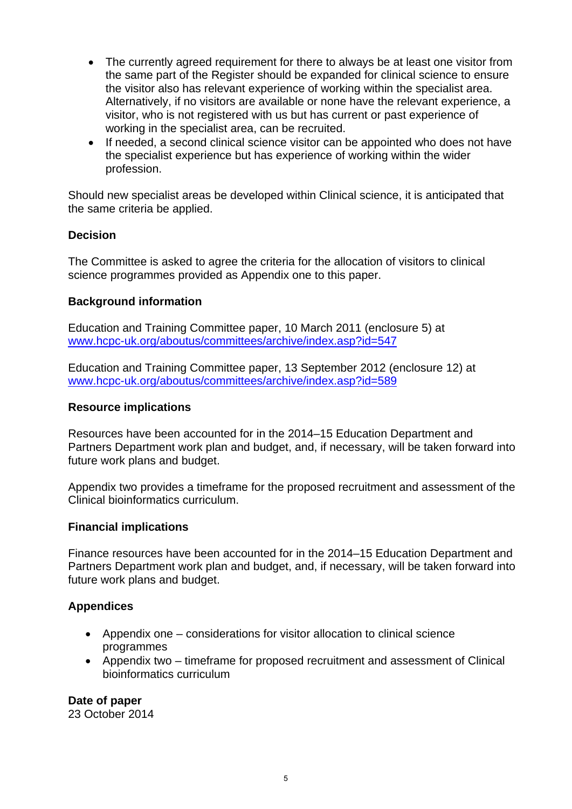- The currently agreed requirement for there to always be at least one visitor from the same part of the Register should be expanded for clinical science to ensure the visitor also has relevant experience of working within the specialist area. Alternatively, if no visitors are available or none have the relevant experience, a visitor, who is not registered with us but has current or past experience of working in the specialist area, can be recruited.
- If needed, a second clinical science visitor can be appointed who does not have the specialist experience but has experience of working within the wider profession.

Should new specialist areas be developed within Clinical science, it is anticipated that the same criteria be applied.

### **Decision**

The Committee is asked to agree the criteria for the allocation of visitors to clinical science programmes provided as Appendix one to this paper.

### **Background information**

Education and Training Committee paper, 10 March 2011 (enclosure 5) at www.hcpc-uk.org/aboutus/committees/archive/index.asp?id=547

Education and Training Committee paper, 13 September 2012 (enclosure 12) at www.hcpc-uk.org/aboutus/committees/archive/index.asp?id=589

### **Resource implications**

Resources have been accounted for in the 2014–15 Education Department and Partners Department work plan and budget, and, if necessary, will be taken forward into future work plans and budget.

Appendix two provides a timeframe for the proposed recruitment and assessment of the Clinical bioinformatics curriculum.

### **Financial implications**

Finance resources have been accounted for in the 2014–15 Education Department and Partners Department work plan and budget, and, if necessary, will be taken forward into future work plans and budget.

## **Appendices**

- Appendix one considerations for visitor allocation to clinical science programmes
- Appendix two timeframe for proposed recruitment and assessment of Clinical bioinformatics curriculum

**Date of paper**  23 October 2014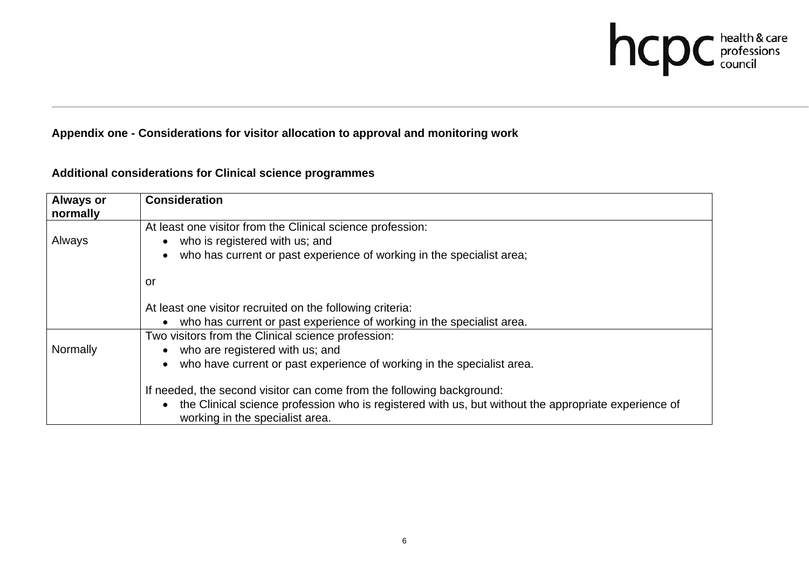

## **Appendix one - Considerations for visitor allocation to approval and monitoring work**

| <b>Always or</b><br>normally | <b>Consideration</b>                                                                                                                                 |
|------------------------------|------------------------------------------------------------------------------------------------------------------------------------------------------|
|                              | At least one visitor from the Clinical science profession:                                                                                           |
| Always                       | who is registered with us; and<br>$\bullet$                                                                                                          |
|                              | who has current or past experience of working in the specialist area;<br>$\bullet$                                                                   |
|                              | or                                                                                                                                                   |
|                              | At least one visitor recruited on the following criteria:                                                                                            |
|                              | who has current or past experience of working in the specialist area.<br>$\bullet$                                                                   |
|                              | Two visitors from the Clinical science profession:                                                                                                   |
| Normally                     | who are registered with us; and                                                                                                                      |
|                              | who have current or past experience of working in the specialist area.<br>$\bullet$                                                                  |
|                              | If needed, the second visitor can come from the following background:                                                                                |
|                              | the Clinical science profession who is registered with us, but without the appropriate experience of<br>$\bullet$<br>working in the specialist area. |